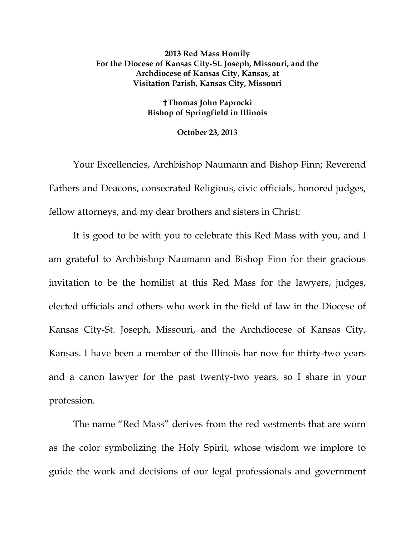## **2013 Red Mass Homily For the Diocese of Kansas City-St. Joseph, Missouri, and the Archdiocese of Kansas City, Kansas, at Visitation Parish, Kansas City, Missouri**

## **Thomas John Paprocki Bishop of Springfield in Illinois**

## **October 23, 2013**

Your Excellencies, Archbishop Naumann and Bishop Finn; Reverend Fathers and Deacons, consecrated Religious, civic officials, honored judges, fellow attorneys, and my dear brothers and sisters in Christ:

It is good to be with you to celebrate this Red Mass with you, and I am grateful to Archbishop Naumann and Bishop Finn for their gracious invitation to be the homilist at this Red Mass for the lawyers, judges, elected officials and others who work in the field of law in the Diocese of Kansas City-St. Joseph, Missouri, and the Archdiocese of Kansas City, Kansas. I have been a member of the Illinois bar now for thirty-two years and a canon lawyer for the past twenty-two years, so I share in your profession.

The name "Red Mass" derives from the red vestments that are worn as the color symbolizing the Holy Spirit, whose wisdom we implore to guide the work and decisions of our legal professionals and government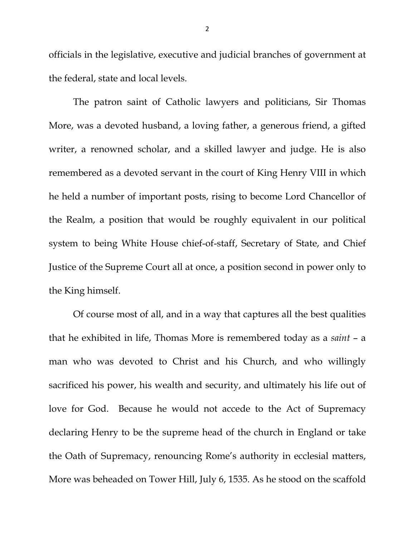officials in the legislative, executive and judicial branches of government at the federal, state and local levels.

The patron saint of Catholic lawyers and politicians, Sir Thomas More, was a devoted husband, a loving father, a generous friend, a gifted writer, a renowned scholar, and a skilled lawyer and judge. He is also remembered as a devoted servant in the court of King Henry VIII in which he held a number of important posts, rising to become Lord Chancellor of the Realm, a position that would be roughly equivalent in our political system to being White House chief-of-staff, Secretary of State, and Chief Justice of the Supreme Court all at once, a position second in power only to the King himself.

Of course most of all, and in a way that captures all the best qualities that he exhibited in life, Thomas More is remembered today as a *saint* – a man who was devoted to Christ and his Church, and who willingly sacrificed his power, his wealth and security, and ultimately his life out of love for God. Because he would not accede to the Act of Supremacy declaring Henry to be the supreme head of the church in England or take the Oath of Supremacy, renouncing Rome's authority in ecclesial matters, More was beheaded on Tower Hill, July 6, 1535. As he stood on the scaffold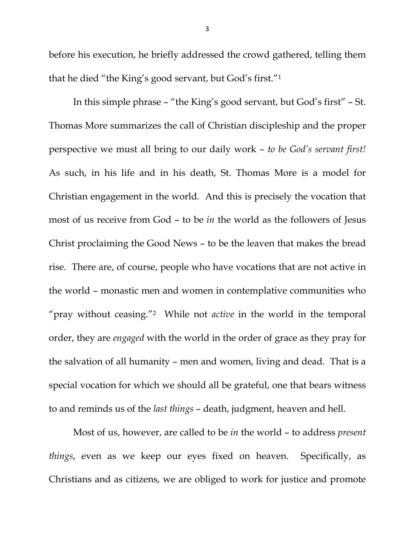before his execution, he briefly addressed the crowd gathered, telling them that he died "the King's good servant, but God's first."1

In this simple phrase – "the King's good servant, but God's first" – St. Thomas More summarizes the call of Christian discipleship and the proper perspective we must all bring to our daily work – *to be God's servant first!* As such, in his life and in his death, St. Thomas More is a model for Christian engagement in the world. And this is precisely the vocation that most of us receive from God – to be *in* the world as the followers of Jesus Christ proclaiming the Good News – to be the leaven that makes the bread rise. There are, of course, people who have vocations that are not active in the world – monastic men and women in contemplative communities who "pray without ceasing."2 While not *active* in the world in the temporal order, they are *engaged* with the world in the order of grace as they pray for the salvation of all humanity – men and women, living and dead. That is a special vocation for which we should all be grateful, one that bears witness to and reminds us of the *last things* – death, judgment, heaven and hell.

Most of us, however, are called to be *in* the world – to address *present things*, even as we keep our eyes fixed on heaven. Specifically, as Christians and as citizens, we are obliged to work for justice and promote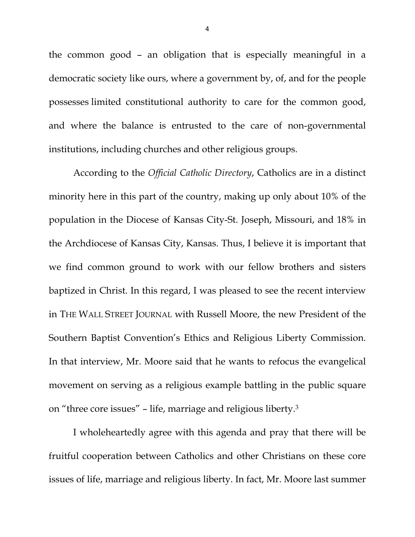the common good – an obligation that is especially meaningful in a democratic society like ours, where a government by, of, and for the people possesses limited constitutional authority to care for the common good, and where the balance is entrusted to the care of non-governmental institutions, including churches and other religious groups.

According to the *Official Catholic Directory*, Catholics are in a distinct minority here in this part of the country, making up only about 10% of the population in the Diocese of Kansas City-St. Joseph, Missouri, and 18% in the Archdiocese of Kansas City, Kansas. Thus, I believe it is important that we find common ground to work with our fellow brothers and sisters baptized in Christ. In this regard, I was pleased to see the recent interview in THE WALL STREET JOURNAL with Russell Moore, the new President of the Southern Baptist Convention's Ethics and Religious Liberty Commission. In that interview, Mr. Moore said that he wants to refocus the evangelical movement on serving as a religious example battling in the public square on "three core issues" – life, marriage and religious liberty.3

I wholeheartedly agree with this agenda and pray that there will be fruitful cooperation between Catholics and other Christians on these core issues of life, marriage and religious liberty. In fact, Mr. Moore last summer

4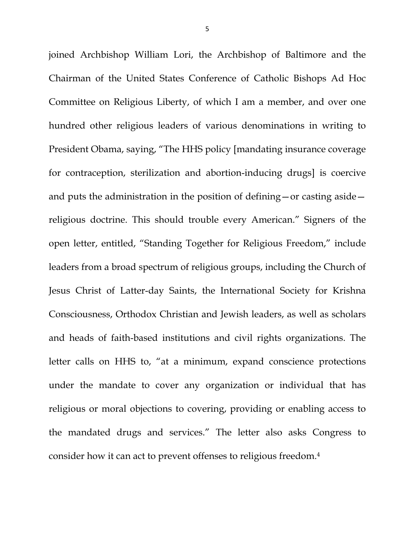joined Archbishop William Lori, the Archbishop of Baltimore and the Chairman of the United States Conference of Catholic Bishops Ad Hoc Committee on Religious Liberty, of which I am a member, and over one hundred other religious leaders of various denominations in writing to President Obama, saying, "The HHS policy [mandating insurance coverage for contraception, sterilization and abortion-inducing drugs] is coercive and puts the administration in the position of defining—or casting aside religious doctrine. This should trouble every American." Signers of the open letter, entitled, "Standing Together for Religious Freedom," include leaders from a broad spectrum of religious groups, including the Church of Jesus Christ of Latter-day Saints, the International Society for Krishna Consciousness, Orthodox Christian and Jewish leaders, as well as scholars and heads of faith-based institutions and civil rights organizations. The letter calls on HHS to, "at a minimum, expand conscience protections under the mandate to cover any organization or individual that has religious or moral objections to covering, providing or enabling access to the mandated drugs and services." The letter also asks Congress to consider how it can act to prevent offenses to religious freedom.4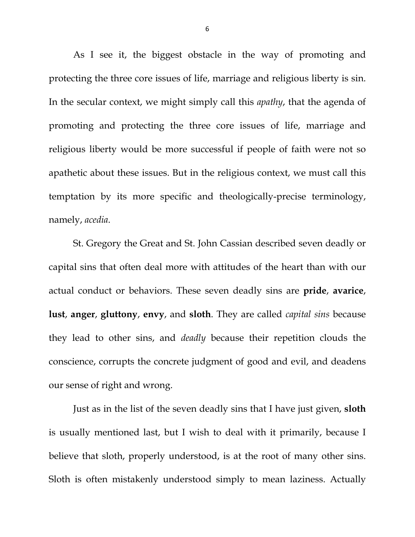As I see it, the biggest obstacle in the way of promoting and protecting the three core issues of life, marriage and religious liberty is sin. In the secular context, we might simply call this *apathy*, that the agenda of promoting and protecting the three core issues of life, marriage and religious liberty would be more successful if people of faith were not so apathetic about these issues. But in the religious context, we must call this temptation by its more specific and theologically-precise terminology, namely, *acedia*.

St. Gregory the Great and St. John Cassian described seven deadly or capital sins that often deal more with attitudes of the heart than with our actual conduct or behaviors. These seven deadly sins are **pride**, **avarice**, **lust**, **anger**, **gluttony**, **envy**, and **sloth**. They are called *capital sins* because they lead to other sins, and *deadly* because their repetition clouds the conscience, corrupts the concrete judgment of good and evil, and deadens our sense of right and wrong.

Just as in the list of the seven deadly sins that I have just given, **sloth** is usually mentioned last, but I wish to deal with it primarily, because I believe that sloth, properly understood, is at the root of many other sins. Sloth is often mistakenly understood simply to mean laziness. Actually

6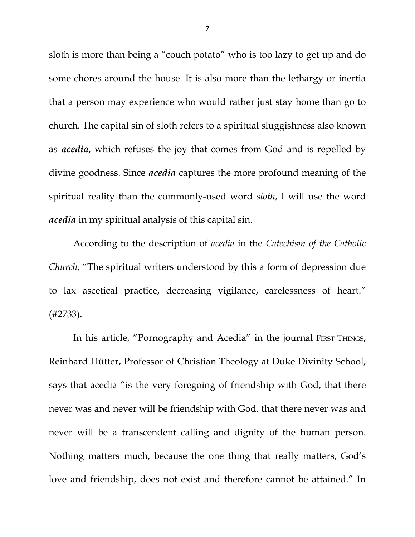sloth is more than being a "couch potato" who is too lazy to get up and do some chores around the house. It is also more than the lethargy or inertia that a person may experience who would rather just stay home than go to church. The capital sin of sloth refers to a spiritual sluggishness also known as *acedia*, which refuses the joy that comes from God and is repelled by divine goodness. Since *acedia* captures the more profound meaning of the spiritual reality than the commonly-used word *sloth*, I will use the word *acedia* in my spiritual analysis of this capital sin.

According to the description of *acedia* in the *Catechism of the Catholic Church*, "The spiritual writers understood by this a form of depression due to lax ascetical practice, decreasing vigilance, carelessness of heart." (#2733).

In his article, "Pornography and Acedia" in the journal FIRST THINGS, Reinhard Hütter, Professor of Christian Theology at Duke Divinity School, says that acedia "is the very foregoing of friendship with God, that there never was and never will be friendship with God, that there never was and never will be a transcendent calling and dignity of the human person. Nothing matters much, because the one thing that really matters, God's love and friendship, does not exist and therefore cannot be attained." In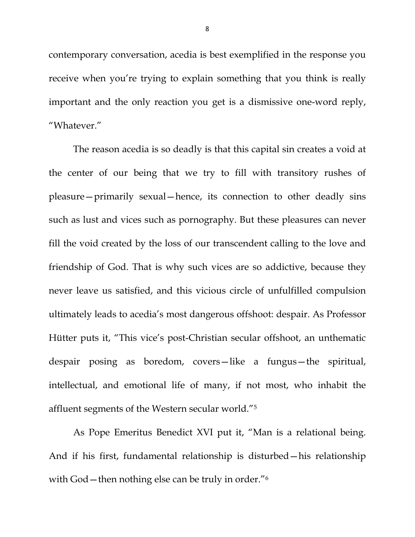contemporary conversation, acedia is best exemplified in the response you receive when you're trying to explain something that you think is really important and the only reaction you get is a dismissive one-word reply, "Whatever."

The reason acedia is so deadly is that this capital sin creates a void at the center of our being that we try to fill with transitory rushes of pleasure—primarily sexual—hence, its connection to other deadly sins such as lust and vices such as pornography. But these pleasures can never fill the void created by the loss of our transcendent calling to the love and friendship of God. That is why such vices are so addictive, because they never leave us satisfied, and this vicious circle of unfulfilled compulsion ultimately leads to acedia's most dangerous offshoot: despair. As Professor Hütter puts it, "This vice's post-Christian secular offshoot, an unthematic despair posing as boredom, covers—like a fungus—the spiritual, intellectual, and emotional life of many, if not most, who inhabit the affluent segments of the Western secular world."5

As Pope Emeritus Benedict XVI put it, "Man is a relational being. And if his first, fundamental relationship is disturbed—his relationship with God – then nothing else can be truly in order."<sup>6</sup>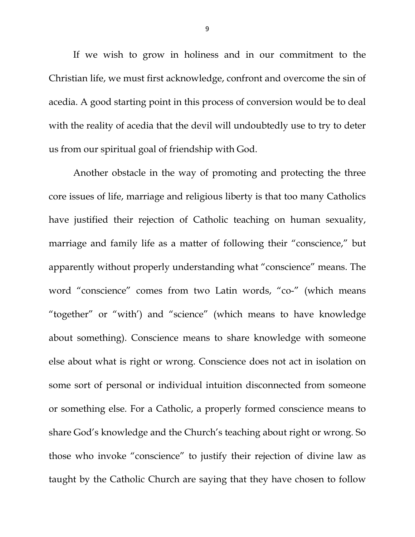If we wish to grow in holiness and in our commitment to the Christian life, we must first acknowledge, confront and overcome the sin of acedia. A good starting point in this process of conversion would be to deal with the reality of acedia that the devil will undoubtedly use to try to deter us from our spiritual goal of friendship with God.

Another obstacle in the way of promoting and protecting the three core issues of life, marriage and religious liberty is that too many Catholics have justified their rejection of Catholic teaching on human sexuality, marriage and family life as a matter of following their "conscience," but apparently without properly understanding what "conscience" means. The word "conscience" comes from two Latin words, "co-" (which means "together" or "with') and "science" (which means to have knowledge about something). Conscience means to share knowledge with someone else about what is right or wrong. Conscience does not act in isolation on some sort of personal or individual intuition disconnected from someone or something else. For a Catholic, a properly formed conscience means to share God's knowledge and the Church's teaching about right or wrong. So those who invoke "conscience" to justify their rejection of divine law as taught by the Catholic Church are saying that they have chosen to follow

9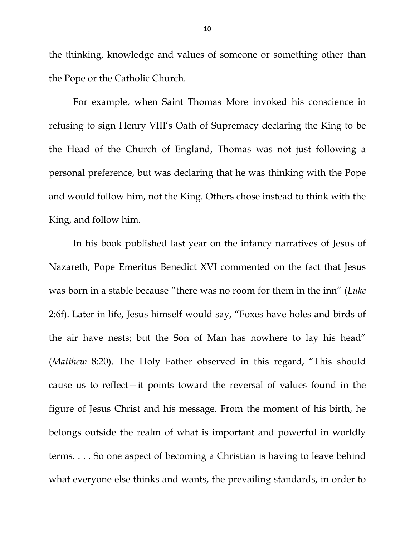the thinking, knowledge and values of someone or something other than the Pope or the Catholic Church.

For example, when Saint Thomas More invoked his conscience in refusing to sign Henry VIII's Oath of Supremacy declaring the King to be the Head of the Church of England, Thomas was not just following a personal preference, but was declaring that he was thinking with the Pope and would follow him, not the King. Others chose instead to think with the King, and follow him.

In his book published last year on the infancy narratives of Jesus of Nazareth, Pope Emeritus Benedict XVI commented on the fact that Jesus was born in a stable because "there was no room for them in the inn" (*Luke* 2:6f). Later in life, Jesus himself would say, "Foxes have holes and birds of the air have nests; but the Son of Man has nowhere to lay his head" (*Matthew* 8:20). The Holy Father observed in this regard, "This should cause us to reflect—it points toward the reversal of values found in the figure of Jesus Christ and his message. From the moment of his birth, he belongs outside the realm of what is important and powerful in worldly terms. . . . So one aspect of becoming a Christian is having to leave behind what everyone else thinks and wants, the prevailing standards, in order to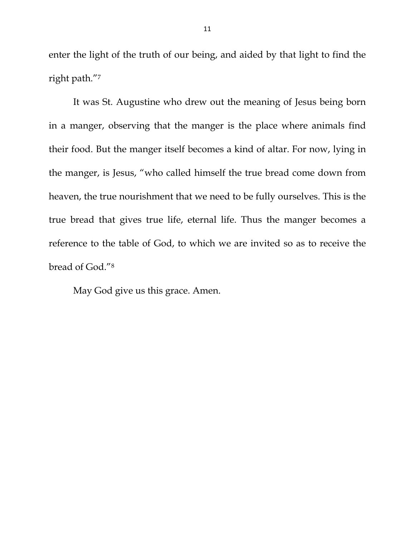enter the light of the truth of our being, and aided by that light to find the right path."7

It was St. Augustine who drew out the meaning of Jesus being born in a manger, observing that the manger is the place where animals find their food. But the manger itself becomes a kind of altar. For now, lying in the manger, is Jesus, "who called himself the true bread come down from heaven, the true nourishment that we need to be fully ourselves. This is the true bread that gives true life, eternal life. Thus the manger becomes a reference to the table of God, to which we are invited so as to receive the bread of God."8

May God give us this grace. Amen.